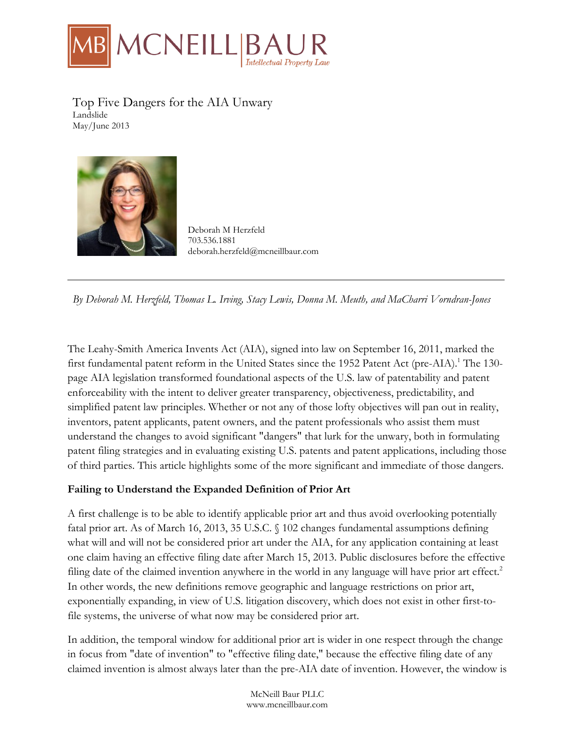

Top Five Dangers for the AIA Unwary Landslide May/June 2013



Deborah M Herzfeld 703.536.1881 deborah.herzfeld@mcneillbaur.com

*By Deborah M. Herzfeld, Thomas L. Irving, Stacy Lewis, Donna M. Meuth, and MaCharri Vorndran-Jones*

The Leahy-Smith America Invents Act (AIA), signed into law on September 16, 2011, marked the first fundamental patent reform in the United States since the 1952 Patent Act (pre-AIA).<sup>1</sup> The 130page AIA legislation transformed foundational aspects of the U.S. law of patentability and patent enforceability with the intent to deliver greater transparency, objectiveness, predictability, and simplified patent law principles. Whether or not any of those lofty objectives will pan out in reality, inventors, patent applicants, patent owners, and the patent professionals who assist them must understand the changes to avoid significant "dangers" that lurk for the unwary, both in formulating patent filing strategies and in evaluating existing U.S. patents and patent applications, including those of third parties. This article highlights some of the more significant and immediate of those dangers.

#### **Failing to Understand the Expanded Definition of Prior Art**

A first challenge is to be able to identify applicable prior art and thus avoid overlooking potentially fatal prior art. As of March 16, 2013, 35 U.S.C. § 102 changes fundamental assumptions defining what will and will not be considered prior art under the AIA, for any application containing at least one claim having an effective filing date after March 15, 2013. Public disclosures before the effective filing date of the claimed invention anywhere in the world in any language will have prior art effect.<sup>2</sup> In other words, the new definitions remove geographic and language restrictions on prior art, exponentially expanding, in view of U.S. litigation discovery, which does not exist in other first-tofile systems, the universe of what now may be considered prior art.

In addition, the temporal window for additional prior art is wider in one respect through the change in focus from "date of invention" to "effective filing date," because the effective filing date of any claimed invention is almost always later than the pre-AIA date of invention. However, the window is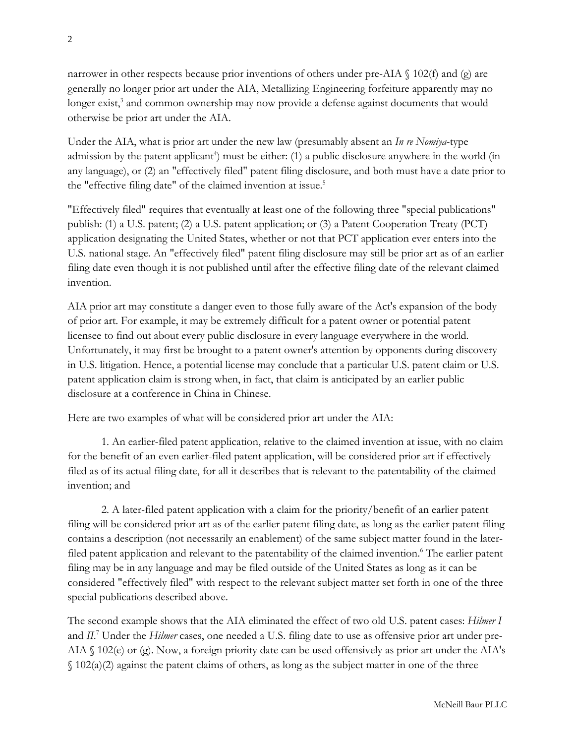narrower in other respects because prior inventions of others under pre-AIA  $\parallel$  102(f) and (g) are generally no longer prior art under the AIA, Metallizing Engineering forfeiture apparently may no longer exist,<sup>3</sup> and common ownership may now provide a defense against documents that would otherwise be prior art under the AIA.

Under the AIA, what is prior art under the new law (presumably absent an *In re Nomiya*-type admission by the patent applicant<sup>4</sup>) must be either: (1) a public disclosure anywhere in the world (in any language), or (2) an "effectively filed" patent filing disclosure, and both must have a date prior to the "effective filing date" of the claimed invention at issue.<sup>5</sup>

"Effectively filed" requires that eventually at least one of the following three "special publications" publish: (1) a U.S. patent; (2) a U.S. patent application; or (3) a Patent Cooperation Treaty (PCT) application designating the United States, whether or not that PCT application ever enters into the U.S. national stage. An "effectively filed" patent filing disclosure may still be prior art as of an earlier filing date even though it is not published until after the effective filing date of the relevant claimed invention.

AIA prior art may constitute a danger even to those fully aware of the Act's expansion of the body of prior art. For example, it may be extremely difficult for a patent owner or potential patent licensee to find out about every public disclosure in every language everywhere in the world. Unfortunately, it may first be brought to a patent owner's attention by opponents during discovery in U.S. litigation. Hence, a potential license may conclude that a particular U.S. patent claim or U.S. patent application claim is strong when, in fact, that claim is anticipated by an earlier public disclosure at a conference in China in Chinese.

Here are two examples of what will be considered prior art under the AIA:

1. An earlier-filed patent application, relative to the claimed invention at issue, with no claim for the benefit of an even earlier-filed patent application, will be considered prior art if effectively filed as of its actual filing date, for all it describes that is relevant to the patentability of the claimed invention; and

2. A later-filed patent application with a claim for the priority/benefit of an earlier patent filing will be considered prior art as of the earlier patent filing date, as long as the earlier patent filing contains a description (not necessarily an enablement) of the same subject matter found in the laterfiled patent application and relevant to the patentability of the claimed invention.<sup>6</sup> The earlier patent filing may be in any language and may be filed outside of the United States as long as it can be considered "effectively filed" with respect to the relevant subject matter set forth in one of the three special publications described above.

The second example shows that the AIA eliminated the effect of two old U.S. patent cases: *Hilmer I* and *II*. <sup>7</sup> Under the *Hilmer* cases, one needed a U.S. filing date to use as offensive prior art under pre-AIA § 102(e) or (g). Now, a foreign priority date can be used offensively as prior art under the AIA's  $\S$  102(a)(2) against the patent claims of others, as long as the subject matter in one of the three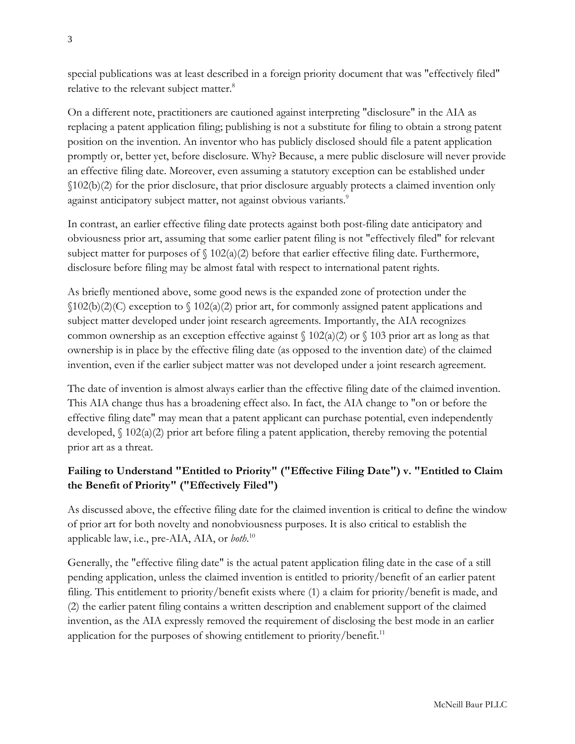special publications was at least described in a foreign priority document that was "effectively filed" relative to the relevant subject matter.<sup>8</sup>

On a different note, practitioners are cautioned against interpreting "disclosure" in the AIA as replacing a patent application filing; publishing is not a substitute for filing to obtain a strong patent position on the invention. An inventor who has publicly disclosed should file a patent application promptly or, better yet, before disclosure. Why? Because, a mere public disclosure will never provide an effective filing date. Moreover, even assuming a statutory exception can be established under §102(b)(2) for the prior disclosure, that prior disclosure arguably protects a claimed invention only against anticipatory subject matter, not against obvious variants.<sup>9</sup>

In contrast, an earlier effective filing date protects against both post-filing date anticipatory and obviousness prior art, assuming that some earlier patent filing is not "effectively filed" for relevant subject matter for purposes of  $\int 102(a)(2)$  before that earlier effective filing date. Furthermore, disclosure before filing may be almost fatal with respect to international patent rights.

As briefly mentioned above, some good news is the expanded zone of protection under the §102(b)(2)(C) exception to § 102(a)(2) prior art, for commonly assigned patent applications and subject matter developed under joint research agreements. Importantly, the AIA recognizes common ownership as an exception effective against  $\int 102(a)(2)$  or  $\int 103$  prior art as long as that ownership is in place by the effective filing date (as opposed to the invention date) of the claimed invention, even if the earlier subject matter was not developed under a joint research agreement.

The date of invention is almost always earlier than the effective filing date of the claimed invention. This AIA change thus has a broadening effect also. In fact, the AIA change to "on or before the effective filing date" may mean that a patent applicant can purchase potential, even independently developed,  $\int$  102(a)(2) prior art before filing a patent application, thereby removing the potential prior art as a threat.

# **Failing to Understand "Entitled to Priority" ("Effective Filing Date") v. "Entitled to Claim the Benefit of Priority" ("Effectively Filed")**

As discussed above, the effective filing date for the claimed invention is critical to define the window of prior art for both novelty and nonobviousness purposes. It is also critical to establish the applicable law, i.e., pre-AIA, AIA, or *both*. 10

Generally, the "effective filing date" is the actual patent application filing date in the case of a still pending application, unless the claimed invention is entitled to priority/benefit of an earlier patent filing. This entitlement to priority/benefit exists where (1) a claim for priority/benefit is made, and (2) the earlier patent filing contains a written description and enablement support of the claimed invention, as the AIA expressly removed the requirement of disclosing the best mode in an earlier application for the purposes of showing entitlement to priority/benefit. $11$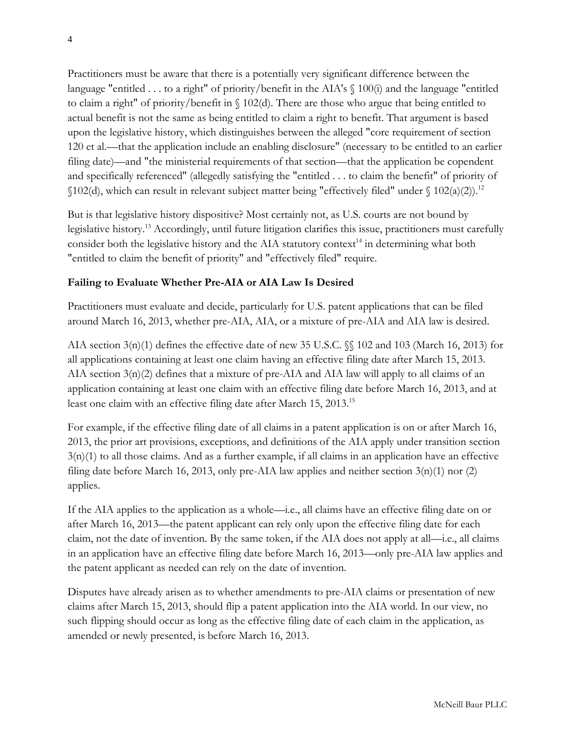Practitioners must be aware that there is a potentially very significant difference between the language "entitled ... to a right" of priority/benefit in the AIA's  $\S$  100(i) and the language "entitled to claim a right" of priority/benefit in § 102(d). There are those who argue that being entitled to actual benefit is not the same as being entitled to claim a right to benefit. That argument is based upon the legislative history, which distinguishes between the alleged "core requirement of section 120 et al.—that the application include an enabling disclosure" (necessary to be entitled to an earlier filing date)—and "the ministerial requirements of that section—that the application be copendent and specifically referenced" (allegedly satisfying the "entitled . . . to claim the benefit" of priority of  $$102(d)$ , which can result in relevant subject matter being "effectively filed" under  $$102(a)(2)$ .<sup>12</sup>

But is that legislative history dispositive? Most certainly not, as U.S. courts are not bound by legislative history.13 Accordingly, until future litigation clarifies this issue, practitioners must carefully consider both the legislative history and the AIA statutory context<sup>14</sup> in determining what both "entitled to claim the benefit of priority" and "effectively filed" require.

# **Failing to Evaluate Whether Pre-AIA or AIA Law Is Desired**

Practitioners must evaluate and decide, particularly for U.S. patent applications that can be filed around March 16, 2013, whether pre-AIA, AIA, or a mixture of pre-AIA and AIA law is desired.

AIA section  $3(n)(1)$  defines the effective date of new 35 U.S.C. §§ 102 and 103 (March 16, 2013) for all applications containing at least one claim having an effective filing date after March 15, 2013. AIA section  $3(n)(2)$  defines that a mixture of pre-AIA and AIA law will apply to all claims of an application containing at least one claim with an effective filing date before March 16, 2013, and at least one claim with an effective filing date after March 15, 2013.<sup>15</sup>

For example, if the effective filing date of all claims in a patent application is on or after March 16, 2013, the prior art provisions, exceptions, and definitions of the AIA apply under transition section 3(n)(1) to all those claims. And as a further example, if all claims in an application have an effective filing date before March 16, 2013, only pre-AIA law applies and neither section  $3(n)(1)$  nor (2) applies.

If the AIA applies to the application as a whole—i.e., all claims have an effective filing date on or after March 16, 2013—the patent applicant can rely only upon the effective filing date for each claim, not the date of invention. By the same token, if the AIA does not apply at all—i.e., all claims in an application have an effective filing date before March 16, 2013—only pre-AIA law applies and the patent applicant as needed can rely on the date of invention.

Disputes have already arisen as to whether amendments to pre-AIA claims or presentation of new claims after March 15, 2013, should flip a patent application into the AIA world. In our view, no such flipping should occur as long as the effective filing date of each claim in the application, as amended or newly presented, is before March 16, 2013.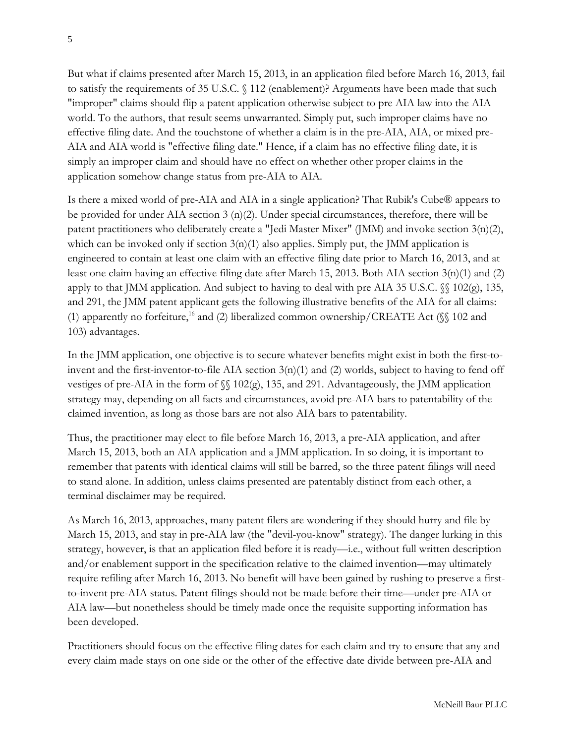But what if claims presented after March 15, 2013, in an application filed before March 16, 2013, fail to satisfy the requirements of 35 U.S.C. § 112 (enablement)? Arguments have been made that such "improper" claims should flip a patent application otherwise subject to pre AIA law into the AIA world. To the authors, that result seems unwarranted. Simply put, such improper claims have no effective filing date. And the touchstone of whether a claim is in the pre-AIA, AIA, or mixed pre-AIA and AIA world is "effective filing date." Hence, if a claim has no effective filing date, it is simply an improper claim and should have no effect on whether other proper claims in the application somehow change status from pre-AIA to AIA.

Is there a mixed world of pre-AIA and AIA in a single application? That Rubik's Cube® appears to be provided for under AIA section  $3 \text{ (n)}(2)$ . Under special circumstances, therefore, there will be patent practitioners who deliberately create a "Jedi Master Mixer" (JMM) and invoke section 3(n)(2), which can be invoked only if section  $3(n)(1)$  also applies. Simply put, the JMM application is engineered to contain at least one claim with an effective filing date prior to March 16, 2013, and at least one claim having an effective filing date after March 15, 2013. Both AIA section 3(n)(1) and (2) apply to that JMM application. And subject to having to deal with pre AIA 35 U.S.C. §§ 102(g), 135, and 291, the JMM patent applicant gets the following illustrative benefits of the AIA for all claims: (1) apparently no forfeiture,<sup>16</sup> and (2) liberalized common ownership/CREATE Act ( $\$  102 and 103) advantages.

In the JMM application, one objective is to secure whatever benefits might exist in both the first-toinvent and the first-inventor-to-file AIA section  $3(n)(1)$  and (2) worlds, subject to having to fend off vestiges of pre-AIA in the form of §§ 102(g), 135, and 291. Advantageously, the JMM application strategy may, depending on all facts and circumstances, avoid pre-AIA bars to patentability of the claimed invention, as long as those bars are not also AIA bars to patentability.

Thus, the practitioner may elect to file before March 16, 2013, a pre-AIA application, and after March 15, 2013, both an AIA application and a JMM application. In so doing, it is important to remember that patents with identical claims will still be barred, so the three patent filings will need to stand alone. In addition, unless claims presented are patentably distinct from each other, a terminal disclaimer may be required.

As March 16, 2013, approaches, many patent filers are wondering if they should hurry and file by March 15, 2013, and stay in pre-AIA law (the "devil-you-know" strategy). The danger lurking in this strategy, however, is that an application filed before it is ready—i.e., without full written description and/or enablement support in the specification relative to the claimed invention—may ultimately require refiling after March 16, 2013. No benefit will have been gained by rushing to preserve a firstto-invent pre-AIA status. Patent filings should not be made before their time—under pre-AIA or AIA law—but nonetheless should be timely made once the requisite supporting information has been developed.

Practitioners should focus on the effective filing dates for each claim and try to ensure that any and every claim made stays on one side or the other of the effective date divide between pre-AIA and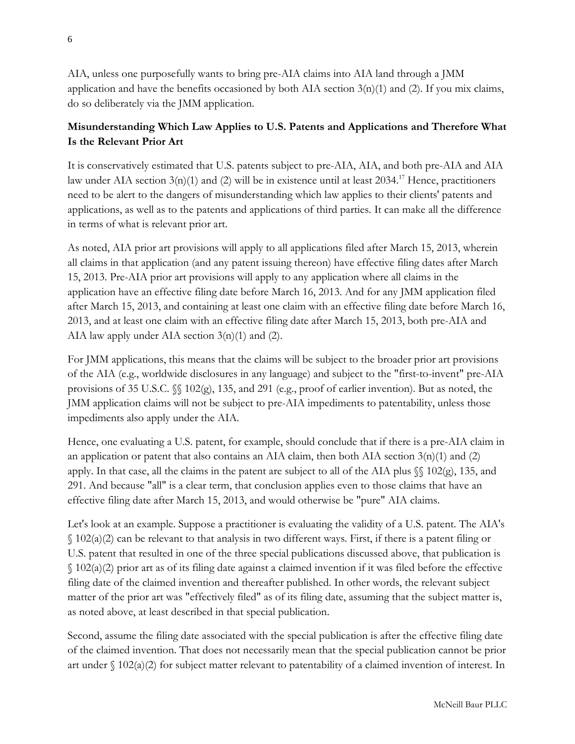AIA, unless one purposefully wants to bring pre-AIA claims into AIA land through a JMM application and have the benefits occasioned by both AIA section  $3(n)(1)$  and (2). If you mix claims, do so deliberately via the JMM application.

# **Misunderstanding Which Law Applies to U.S. Patents and Applications and Therefore What Is the Relevant Prior Art**

It is conservatively estimated that U.S. patents subject to pre-AIA, AIA, and both pre-AIA and AIA law under AIA section 3(n)(1) and (2) will be in existence until at least 2034.<sup>17</sup> Hence, practitioners need to be alert to the dangers of misunderstanding which law applies to their clients' patents and applications, as well as to the patents and applications of third parties. It can make all the difference in terms of what is relevant prior art.

As noted, AIA prior art provisions will apply to all applications filed after March 15, 2013, wherein all claims in that application (and any patent issuing thereon) have effective filing dates after March 15, 2013. Pre-AIA prior art provisions will apply to any application where all claims in the application have an effective filing date before March 16, 2013. And for any JMM application filed after March 15, 2013, and containing at least one claim with an effective filing date before March 16, 2013, and at least one claim with an effective filing date after March 15, 2013, both pre-AIA and AIA law apply under AIA section  $3(n)(1)$  and (2).

For JMM applications, this means that the claims will be subject to the broader prior art provisions of the AIA (e.g., worldwide disclosures in any language) and subject to the "first-to-invent" pre-AIA provisions of 35 U.S.C.  $\mathcal{S}$  102(g), 135, and 291 (e.g., proof of earlier invention). But as noted, the JMM application claims will not be subject to pre-AIA impediments to patentability, unless those impediments also apply under the AIA.

Hence, one evaluating a U.S. patent, for example, should conclude that if there is a pre-AIA claim in an application or patent that also contains an AIA claim, then both AIA section  $3(n)(1)$  and (2) apply. In that case, all the claims in the patent are subject to all of the AIA plus §§ 102(g), 135, and 291. And because "all" is a clear term, that conclusion applies even to those claims that have an effective filing date after March 15, 2013, and would otherwise be "pure" AIA claims.

Let's look at an example. Suppose a practitioner is evaluating the validity of a U.S. patent. The AIA's  $\{(102(a)(2))\}$  can be relevant to that analysis in two different ways. First, if there is a patent filing or U.S. patent that resulted in one of the three special publications discussed above, that publication is § 102(a)(2) prior art as of its filing date against a claimed invention if it was filed before the effective filing date of the claimed invention and thereafter published. In other words, the relevant subject matter of the prior art was "effectively filed" as of its filing date, assuming that the subject matter is, as noted above, at least described in that special publication.

Second, assume the filing date associated with the special publication is after the effective filing date of the claimed invention. That does not necessarily mean that the special publication cannot be prior art under § 102(a)(2) for subject matter relevant to patentability of a claimed invention of interest. In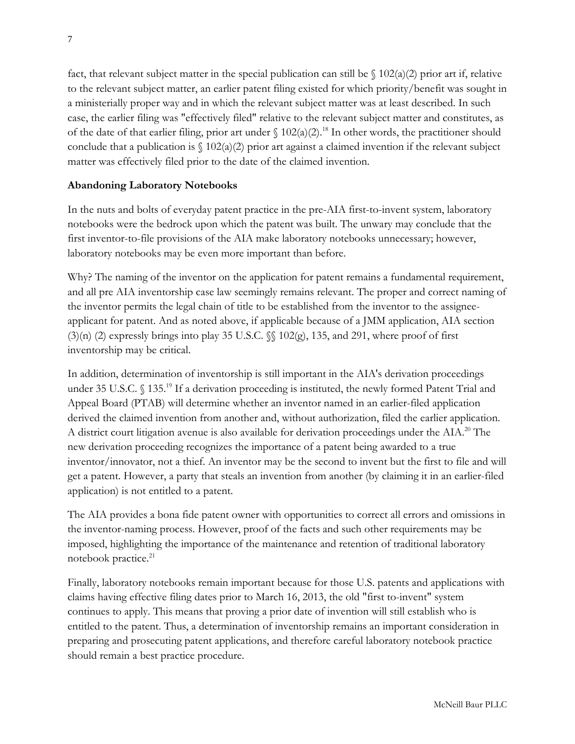fact, that relevant subject matter in the special publication can still be  $\int 102(a)(2)$  prior art if, relative to the relevant subject matter, an earlier patent filing existed for which priority/benefit was sought in a ministerially proper way and in which the relevant subject matter was at least described. In such case, the earlier filing was "effectively filed" relative to the relevant subject matter and constitutes, as of the date of that earlier filing, prior art under  $\int 102(a)(2)^{18}$  In other words, the practitioner should conclude that a publication is  $\binom{102(a)(2)}{2}$  prior art against a claimed invention if the relevant subject matter was effectively filed prior to the date of the claimed invention.

# **Abandoning Laboratory Notebooks**

In the nuts and bolts of everyday patent practice in the pre-AIA first-to-invent system, laboratory notebooks were the bedrock upon which the patent was built. The unwary may conclude that the first inventor-to-file provisions of the AIA make laboratory notebooks unnecessary; however, laboratory notebooks may be even more important than before.

Why? The naming of the inventor on the application for patent remains a fundamental requirement, and all pre AIA inventorship case law seemingly remains relevant. The proper and correct naming of the inventor permits the legal chain of title to be established from the inventor to the assigneeapplicant for patent. And as noted above, if applicable because of a JMM application, AIA section  $(3)(n)$  (2) expressly brings into play 35 U.S.C. §§ 102(g), 135, and 291, where proof of first inventorship may be critical.

In addition, determination of inventorship is still important in the AIA's derivation proceedings under 35 U.S.C. § 135.<sup>19</sup> If a derivation proceeding is instituted, the newly formed Patent Trial and Appeal Board (PTAB) will determine whether an inventor named in an earlier-filed application derived the claimed invention from another and, without authorization, filed the earlier application. A district court litigation avenue is also available for derivation proceedings under the AIA.<sup>20</sup> The new derivation proceeding recognizes the importance of a patent being awarded to a true inventor/innovator, not a thief. An inventor may be the second to invent but the first to file and will get a patent. However, a party that steals an invention from another (by claiming it in an earlier-filed application) is not entitled to a patent.

The AIA provides a bona fide patent owner with opportunities to correct all errors and omissions in the inventor-naming process. However, proof of the facts and such other requirements may be imposed, highlighting the importance of the maintenance and retention of traditional laboratory notebook practice.<sup>21</sup>

Finally, laboratory notebooks remain important because for those U.S. patents and applications with claims having effective filing dates prior to March 16, 2013, the old "first to-invent" system continues to apply. This means that proving a prior date of invention will still establish who is entitled to the patent. Thus, a determination of inventorship remains an important consideration in preparing and prosecuting patent applications, and therefore careful laboratory notebook practice should remain a best practice procedure.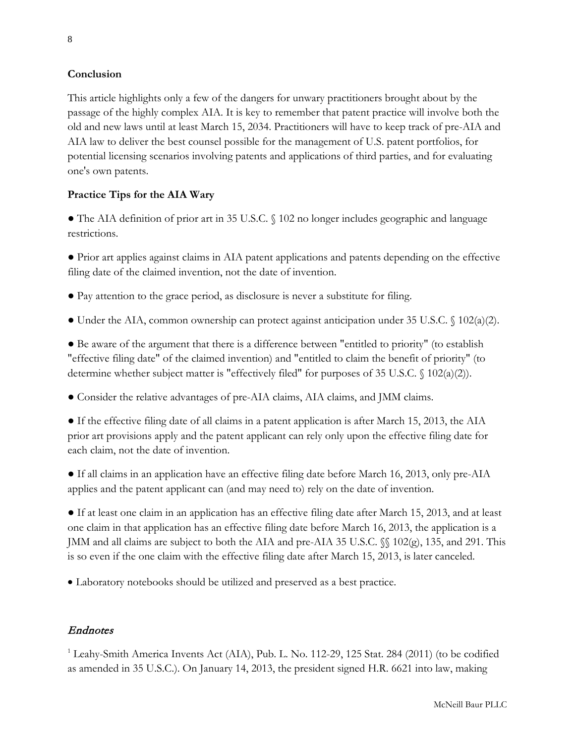#### **Conclusion**

This article highlights only a few of the dangers for unwary practitioners brought about by the passage of the highly complex AIA. It is key to remember that patent practice will involve both the old and new laws until at least March 15, 2034. Practitioners will have to keep track of pre-AIA and AIA law to deliver the best counsel possible for the management of U.S. patent portfolios, for potential licensing scenarios involving patents and applications of third parties, and for evaluating one's own patents.

#### **Practice Tips for the AIA Wary**

● The AIA definition of prior art in 35 U.S.C. § 102 no longer includes geographic and language restrictions.

● Prior art applies against claims in AIA patent applications and patents depending on the effective filing date of the claimed invention, not the date of invention.

- Pay attention to the grace period, as disclosure is never a substitute for filing.
- Under the AIA, common ownership can protect against anticipation under 35 U.S.C. § 102(a)(2).

● Be aware of the argument that there is a difference between "entitled to priority" (to establish "effective filing date" of the claimed invention) and "entitled to claim the benefit of priority" (to determine whether subject matter is "effectively filed" for purposes of 35 U.S.C. § 102(a)(2)).

● Consider the relative advantages of pre-AIA claims, AIA claims, and JMM claims.

• If the effective filing date of all claims in a patent application is after March 15, 2013, the AIA prior art provisions apply and the patent applicant can rely only upon the effective filing date for each claim, not the date of invention.

● If all claims in an application have an effective filing date before March 16, 2013, only pre-AIA applies and the patent applicant can (and may need to) rely on the date of invention.

● If at least one claim in an application has an effective filing date after March 15, 2013, and at least one claim in that application has an effective filing date before March 16, 2013, the application is a JMM and all claims are subject to both the AIA and pre-AIA 35 U.S.C. §§ 102(g), 135, and 291. This is so even if the one claim with the effective filing date after March 15, 2013, is later canceled.

• Laboratory notebooks should be utilized and preserved as a best practice.

# Endnotes

<sup>1</sup> Leahy-Smith America Invents Act (AIA), Pub. L. No. 112-29, 125 Stat. 284 (2011) (to be codified as amended in 35 U.S.C.). On January 14, 2013, the president signed H.R. 6621 into law, making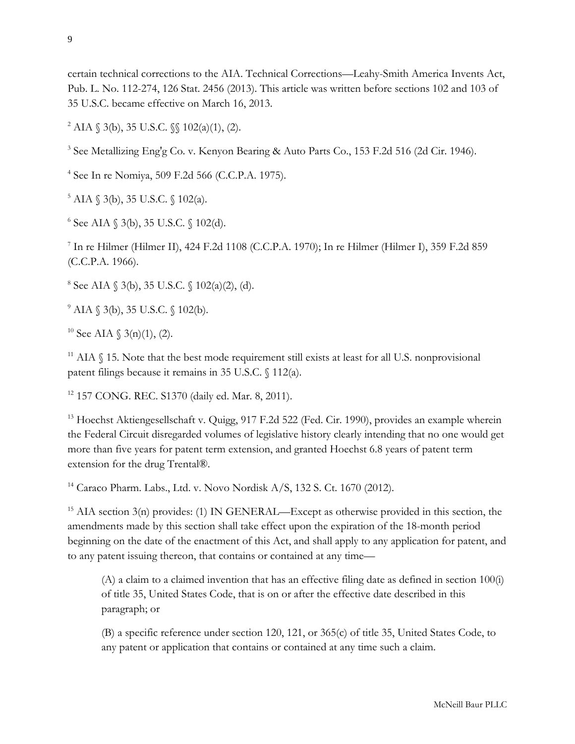certain technical corrections to the AIA. Technical Corrections—Leahy-Smith America Invents Act, Pub. L. No. 112-274, 126 Stat. 2456 (2013). This article was written before sections 102 and 103 of 35 U.S.C. became effective on March 16, 2013.

<sup>2</sup> AIA § 3(b), 35 U.S.C. §§ 102(a)(1), (2).

<sup>3</sup> See Metallizing Eng'g Co. v. Kenyon Bearing & Auto Parts Co., 153 F.2d 516 (2d Cir. 1946).

<sup>4</sup> See In re Nomiya, 509 F.2d 566 (C.C.P.A. 1975).

 $5$  AIA  $\binom{3}{b}$ , 35 U.S.C.  $\binom{102}{a}$ .

 $6$  See AIA  $$3(b), 35$  U.S.C.  $$102(d).$ 

<sup>7</sup> In re Hilmer (Hilmer II), 424 F.2d 1108 (C.C.P.A. 1970); In re Hilmer (Hilmer I), 359 F.2d 859 (C.C.P.A. 1966).

 $8 \text{ See AIA } (3(b), 35 \text{ U.S.C. } (102(a)(2), (d)).$ 

 $^{9}$  AIA  $\frac{6}{9}$  3(b), 35 U.S.C.  $\frac{6}{9}$  102(b).

<sup>10</sup> See AIA  $\{3(n)(1), (2)\}$ .

 $11$  AIA  $\Diamond$  15. Note that the best mode requirement still exists at least for all U.S. nonprovisional patent filings because it remains in 35 U.S.C. § 112(a).

<sup>12</sup> 157 CONG. REC. S1370 (daily ed. Mar. 8, 2011).

<sup>13</sup> Hoechst Aktiengesellschaft v. Quigg, 917 F.2d 522 (Fed. Cir. 1990), provides an example wherein the Federal Circuit disregarded volumes of legislative history clearly intending that no one would get more than five years for patent term extension, and granted Hoechst 6.8 years of patent term extension for the drug Trental®.

<sup>14</sup> Caraco Pharm. Labs., Ltd. v. Novo Nordisk A/S, 132 S. Ct. 1670 (2012).

 $15$  AIA section 3(n) provides: (1) IN GENERAL—Except as otherwise provided in this section, the amendments made by this section shall take effect upon the expiration of the 18-month period beginning on the date of the enactment of this Act, and shall apply to any application for patent, and to any patent issuing thereon, that contains or contained at any time—

(A) a claim to a claimed invention that has an effective filing date as defined in section 100(i) of title 35, United States Code, that is on or after the effective date described in this paragraph; or

(B) a specific reference under section 120, 121, or 365(c) of title 35, United States Code, to any patent or application that contains or contained at any time such a claim.